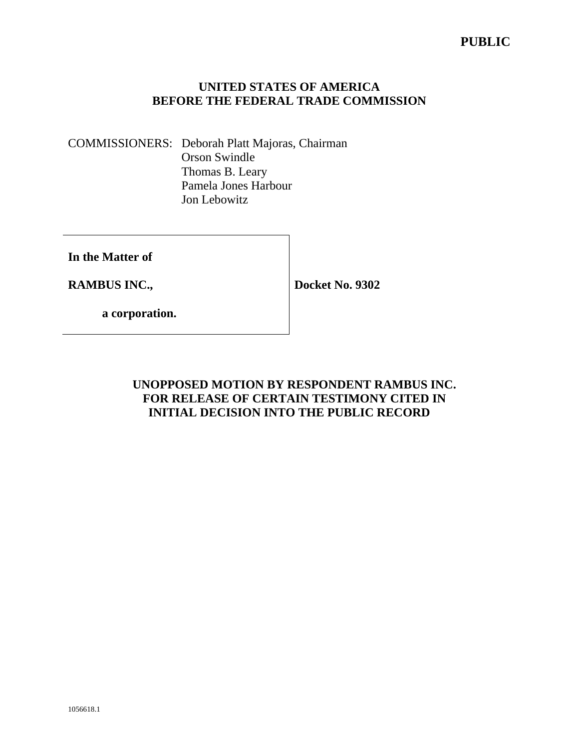COMMISSIONERS: Deborah Platt Majoras, Chairman Orson Swindle Thomas B. Leary Pamela Jones Harbour Jon Lebowitz

**In the Matter of** 

**RAMBUS INC.,** 

**Docket No. 9302** 

 **a corporation.** 

**UNOPPOSED MOTION BY RESPONDENT RAMBUS INC. FOR RELEASE OF CERTAIN TESTIMONY CITED IN INITIAL DECISION INTO THE PUBLIC RECORD**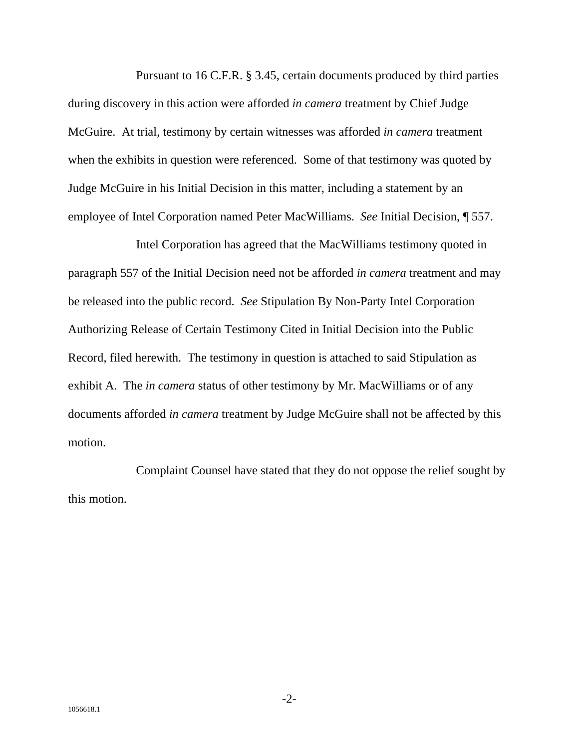Pursuant to 16 C.F.R. § 3.45, certain documents produced by third parties during discovery in this action were afforded *in camera* treatment by Chief Judge McGuire. At trial, testimony by certain witnesses was afforded *in camera* treatment when the exhibits in question were referenced. Some of that testimony was quoted by Judge McGuire in his Initial Decision in this matter, including a statement by an employee of Intel Corporation named Peter MacWilliams. *See* Initial Decision, ¶ 557.

Intel Corporation has agreed that the MacWilliams testimony quoted in paragraph 557 of the Initial Decision need not be afforded *in camera* treatment and may be released into the public record. *See* Stipulation By Non-Party Intel Corporation Authorizing Release of Certain Testimony Cited in Initial Decision into the Public Record, filed herewith. The testimony in question is attached to said Stipulation as exhibit A. The *in camera* status of other testimony by Mr. MacWilliams or of any documents afforded *in camera* treatment by Judge McGuire shall not be affected by this motion.

Complaint Counsel have stated that they do not oppose the relief sought by this motion.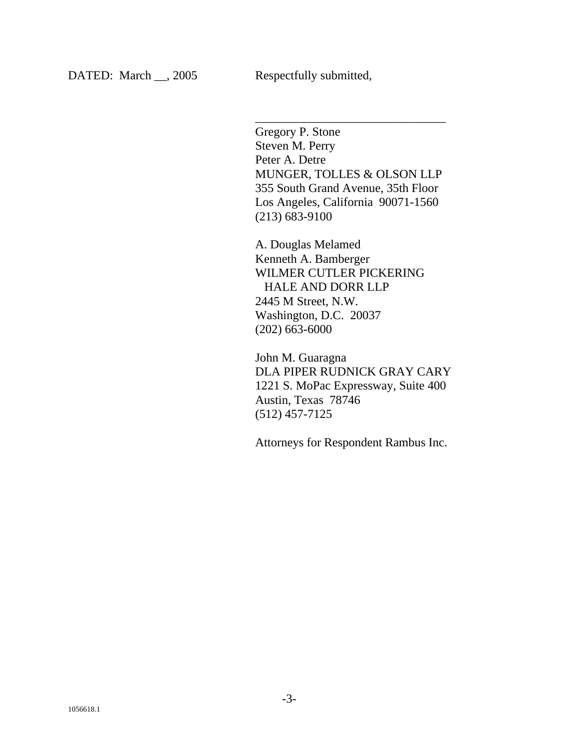Gregory P. Stone Steven M. Perry Peter A. Detre MUNGER, TOLLES & OLSON LLP 355 South Grand Avenue, 35th Floor Los Angeles, California 90071-1560 (213) 683-9100

\_\_\_\_\_\_\_\_\_\_\_\_\_\_\_\_\_\_\_\_\_\_\_\_\_\_\_\_\_\_\_

A. Douglas Melamed Kenneth A. Bamberger WILMER CUTLER PICKERING HALE AND DORR LLP 2445 M Street, N.W. Washington, D.C. 20037 (202) 663-6000

John M. Guaragna DLA PIPER RUDNICK GRAY CARY 1221 S. MoPac Expressway, Suite 400 Austin, Texas 78746 (512) 457-7125

Attorneys for Respondent Rambus Inc.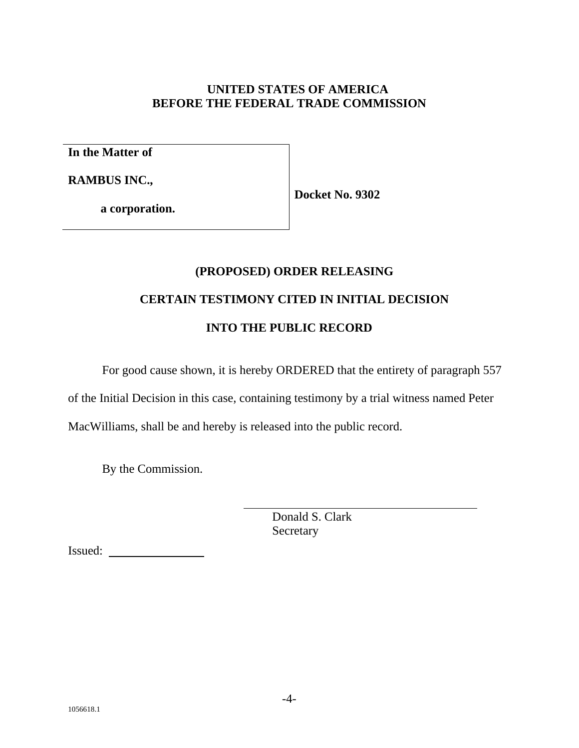**In the Matter of** 

**RAMBUS INC.,** 

**Docket No. 9302** 

 **a corporation.**

# **(PROPOSED) ORDER RELEASING**

# **CERTAIN TESTIMONY CITED IN INITIAL DECISION**

# **INTO THE PUBLIC RECORD**

For good cause shown, it is hereby ORDERED that the entirety of paragraph 557

of the Initial Decision in this case, containing testimony by a trial witness named Peter

MacWilliams, shall be and hereby is released into the public record.

l

By the Commission.

 Donald S. Clark Secretary

Issued: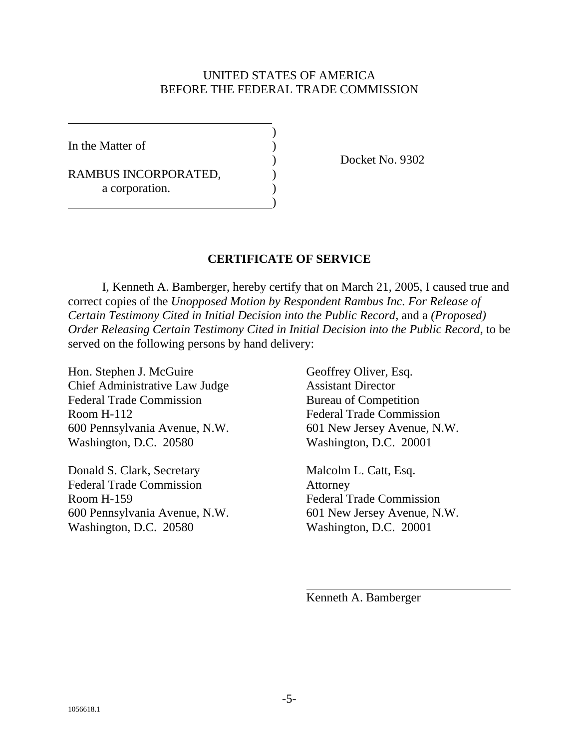In the Matter of

 $\overline{a}$ 

RAMBUS INCORPORATED, a corporation. )

 $\overline{\phantom{a}}$ 

) Docket No. 9302

#### **CERTIFICATE OF SERVICE**

 I, Kenneth A. Bamberger, hereby certify that on March 21, 2005, I caused true and correct copies of the *Unopposed Motion by Respondent Rambus Inc. For Release of Certain Testimony Cited in Initial Decision into the Public Record*, and a *(Proposed) Order Releasing Certain Testimony Cited in Initial Decision into the Public Record*, to be served on the following persons by hand delivery:

Hon. Stephen J. McGuire Geoffrey Oliver, Esq. Chief Administrative Law Judge Assistant Director Federal Trade Commission Bureau of Competition Room H-112 Federal Trade Commission 600 Pennsylvania Avenue, N.W. 601 New Jersey Avenue, N.W. Washington, D.C. 20580 Washington, D.C. 20001

Donald S. Clark, Secretary Malcolm L. Catt, Esq. Federal Trade Commission Attorney Room H-159 Federal Trade Commission 600 Pennsylvania Avenue, N.W. 601 New Jersey Avenue, N.W. Washington, D.C. 20580 Washington, D.C. 20001

Kenneth A. Bamberger